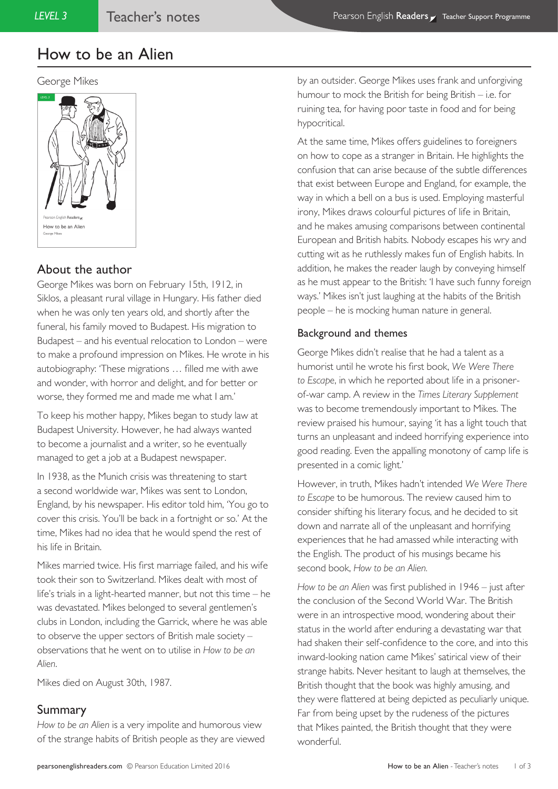#### George Mikes



# About the author

George Mikes was born on February 15th, 1912, in Siklos, a pleasant rural village in Hungary. His father died when he was only ten years old, and shortly after the funeral, his family moved to Budapest. His migration to Budapest – and his eventual relocation to London – were to make a profound impression on Mikes. He wrote in his autobiography: 'These migrations … filled me with awe and wonder, with horror and delight, and for better or worse, they formed me and made me what I am.'

To keep his mother happy, Mikes began to study law at Budapest University. However, he had always wanted to become a journalist and a writer, so he eventually managed to get a job at a Budapest newspaper.

In 1938, as the Munich crisis was threatening to start a second worldwide war, Mikes was sent to London, England, by his newspaper. His editor told him, 'You go to cover this crisis. You'll be back in a fortnight or so.' At the time, Mikes had no idea that he would spend the rest of his life in Britain.

Mikes married twice. His first marriage failed, and his wife took their son to Switzerland. Mikes dealt with most of life's trials in a light-hearted manner, but not this time – he was devastated. Mikes belonged to several gentlemen's clubs in London, including the Garrick, where he was able to observe the upper sectors of British male society – observations that he went on to utilise in *How to be an Alien*.

Mikes died on August 30th, 1987.

## Summary

*How to be an Alien* is a very impolite and humorous view of the strange habits of British people as they are viewed by an outsider. George Mikes uses frank and unforgiving humour to mock the British for being British – i.e. for ruining tea, for having poor taste in food and for being hypocritical.

At the same time, Mikes offers guidelines to foreigners on how to cope as a stranger in Britain. He highlights the confusion that can arise because of the subtle differences that exist between Europe and England, for example, the way in which a bell on a bus is used. Employing masterful irony, Mikes draws colourful pictures of life in Britain, and he makes amusing comparisons between continental European and British habits. Nobody escapes his wry and cutting wit as he ruthlessly makes fun of English habits. In addition, he makes the reader laugh by conveying himself as he must appear to the British: 'I have such funny foreign ways.' Mikes isn't just laughing at the habits of the British people – he is mocking human nature in general.

#### Background and themes

George Mikes didn't realise that he had a talent as a humorist until he wrote his first book, *We Were There to Escape*, in which he reported about life in a prisonerof-war camp. A review in the *Times Literary Supplement*  was to become tremendously important to Mikes. The review praised his humour, saying 'it has a light touch that turns an unpleasant and indeed horrifying experience into good reading. Even the appalling monotony of camp life is presented in a comic light.'

However, in truth, Mikes hadn't intended *We Were There to Escape* to be humorous. The review caused him to consider shifting his literary focus, and he decided to sit down and narrate all of the unpleasant and horrifying experiences that he had amassed while interacting with the English. The product of his musings became his second book, *How to be an Alien.*

*How to be an Alien* was first published in 1946 – just after the conclusion of the Second World War. The British were in an introspective mood, wondering about their status in the world after enduring a devastating war that had shaken their self-confidence to the core, and into this inward-looking nation came Mikes' satirical view of their strange habits. Never hesitant to laugh at themselves, the British thought that the book was highly amusing, and they were flattered at being depicted as peculiarly unique. Far from being upset by the rudeness of the pictures that Mikes painted, the British thought that they were wonderful.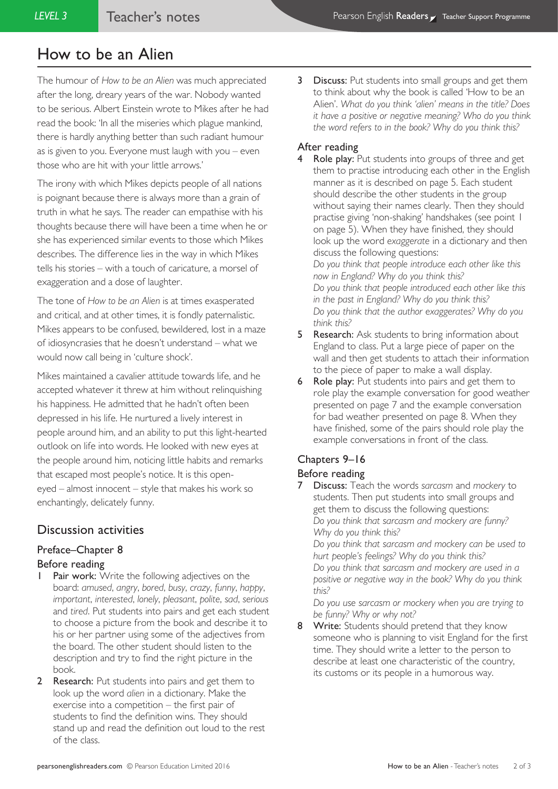The humour of *How to be an Alien* was much appreciated after the long, dreary years of the war. Nobody wanted to be serious. Albert Einstein wrote to Mikes after he had read the book: 'In all the miseries which plague mankind, there is hardly anything better than such radiant humour as is given to you. Everyone must laugh with you – even those who are hit with your little arrows.'

The irony with which Mikes depicts people of all nations is poignant because there is always more than a grain of truth in what he says. The reader can empathise with his thoughts because there will have been a time when he or she has experienced similar events to those which Mikes describes. The difference lies in the way in which Mikes tells his stories – with a touch of caricature, a morsel of exaggeration and a dose of laughter.

The tone of *How to be an Alien* is at times exasperated and critical, and at other times, it is fondly paternalistic. Mikes appears to be confused, bewildered, lost in a maze of idiosyncrasies that he doesn't understand – what we would now call being in 'culture shock'.

Mikes maintained a cavalier attitude towards life, and he accepted whatever it threw at him without relinquishing his happiness. He admitted that he hadn't often been depressed in his life. He nurtured a lively interest in people around him, and an ability to put this light-hearted outlook on life into words. He looked with new eyes at the people around him, noticing little habits and remarks that escaped most people's notice. It is this openeyed – almost innocent – style that makes his work so enchantingly, delicately funny.

## Discussion activities

# Preface–Chapter 8

## Before reading

- **1 Pair work:** Write the following adjectives on the board: *amused*, *angry*, *bored*, *busy*, *crazy*, *funny*, *happy*, *important*, *interested*, *lonely*, *pleasant*, *polite*, *sad*, *serious* and *tired*. Put students into pairs and get each student to choose a picture from the book and describe it to his or her partner using some of the adjectives from the board. The other student should listen to the description and try to find the right picture in the book.
- 2 Research: Put students into pairs and get them to look up the word *alien* in a dictionary. Make the exercise into a competition – the first pair of students to find the definition wins. They should stand up and read the definition out loud to the rest of the class.

**3** Discuss: Put students into small groups and get them to think about why the book is called 'How to be an Alien'. *What do you think 'alien' means in the title? Does it have a positive or negative meaning? Who do you think the word refers to in the book? Why do you think this?*

#### After reading

Role play: Put students into groups of three and get them to practise introducing each other in the English manner as it is described on page 5. Each student should describe the other students in the group without saying their names clearly. Then they should practise giving 'non-shaking' handshakes (see point 1 on page 5). When they have finished, they should look up the word *exaggerate* in a dictionary and then discuss the following questions: *Do you think that people introduce each other like this now in England? Why do you think this? Do you think that people introduced each other like this in the past in England? Why do you think this?*

*Do you think that the author exaggerates? Why do you think this?*

- **5 Research:** Ask students to bring information about England to class. Put a large piece of paper on the wall and then get students to attach their information to the piece of paper to make a wall display.
- 6 Role play: Put students into pairs and get them to role play the example conversation for good weather presented on page 7 and the example conversation for bad weather presented on page 8. When they have finished, some of the pairs should role play the example conversations in front of the class.

### Chapters 9–16

#### Before reading

7 Discuss: Teach the words *sarcasm* and *mockery* to students. Then put students into small groups and get them to discuss the following questions: *Do you think that sarcasm and mockery are funny? Why do you think this?*

*Do you think that sarcasm and mockery can be used to hurt people's feelings? Why do you think this? Do you think that sarcasm and mockery are used in a positive or negative way in the book? Why do you think this?*

*Do you use sarcasm or mockery when you are trying to be funny? Why or why not?*

8 Write: Students should pretend that they know someone who is planning to visit England for the first time. They should write a letter to the person to describe at least one characteristic of the country, its customs or its people in a humorous way.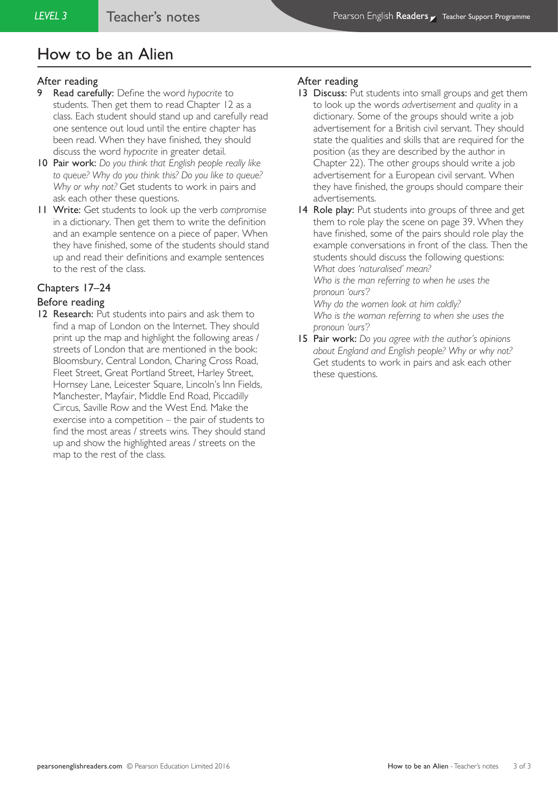#### After reading

- 9 Read carefully: Define the word *hypocrite* to students. Then get them to read Chapter 12 as a class. Each student should stand up and carefully read one sentence out loud until the entire chapter has been read. When they have finished, they should discuss the word *hypocrite* in greater detail.
- 10 Pair work: *Do you think that English people really like to queue? Why do you think this? Do you like to queue? Why or why not?* Get students to work in pairs and ask each other these questions.
- 11 Write: Get students to look up the verb *compromise* in a dictionary. Then get them to write the definition and an example sentence on a piece of paper. When they have finished, some of the students should stand up and read their definitions and example sentences to the rest of the class.

## Chapters 17–24

#### Before reading

12 Research: Put students into pairs and ask them to find a map of London on the Internet. They should print up the map and highlight the following areas / streets of London that are mentioned in the book: Bloomsbury, Central London, Charing Cross Road, Fleet Street, Great Portland Street, Harley Street, Hornsey Lane, Leicester Square, Lincoln's Inn Fields, Manchester, Mayfair, Middle End Road, Piccadilly Circus, Saville Row and the West End. Make the exercise into a competition – the pair of students to find the most areas / streets wins. They should stand up and show the highlighted areas / streets on the map to the rest of the class.

#### After reading

- 13 Discuss: Put students into small groups and get them to look up the words *advertisement* and *quality* in a dictionary. Some of the groups should write a job advertisement for a British civil servant. They should state the qualities and skills that are required for the position (as they are described by the author in Chapter 22). The other groups should write a job advertisement for a European civil servant. When they have finished, the groups should compare their advertisements.
- 14 Role play: Put students into groups of three and get them to role play the scene on page 39. When they have finished, some of the pairs should role play the example conversations in front of the class. Then the students should discuss the following questions: *What does 'naturalised' mean?*

*Who is the man referring to when he uses the pronoun 'ours'?*

*Why do the women look at him coldly? Who is the woman referring to when she uses the pronoun 'ours'?*

15 Pair work: *Do you agree with the author's opinions about England and English people? Why or why not?* Get students to work in pairs and ask each other these questions.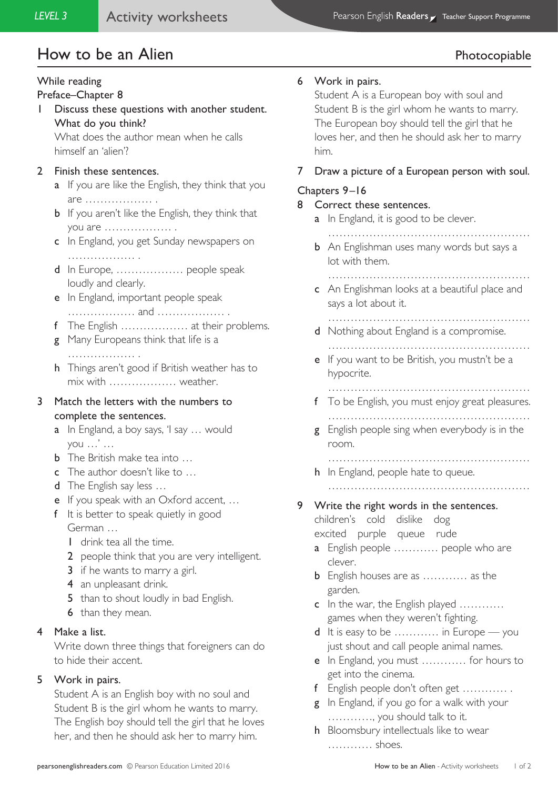# How to be an Alien **Photocopiable**

# While reading

#### Preface–Chapter 8

1 Discuss these questions with another student. What do you think?

What does the author mean when he calls himself an 'alien'?

### 2 Finish these sentences.

- **a** If you are like the English, they think that you are ……………… .
- **b** If you aren't like the English, they think that you are ……………… .
- c In England, you get Sunday newspapers on ……………… .
- d In Europe, ……………… people speak loudly and clearly.
- e In England, important people speak ……………… and ……………… .
- f The English ……………… at their problems.
- **g** Many Europeans think that life is a ……………… .
- h Things aren't good if British weather has to mix with ……………… weather.

# 3 Match the letters with the numbers to complete the sentences.

- a In England, a boy says, 'I say ... would you …' …
- b The British make tea into …
- c The author doesn't like to …
- d The English say less ...
- e If you speak with an Oxford accent, …
- f It is better to speak quietly in good German …
	- 1 drink tea all the time.
	- 2 people think that you are very intelligent.
	- 3 if he wants to marry a girl.
	- 4 an unpleasant drink.
	- 5 than to shout loudly in bad English.
	- 6 than they mean.

## 4 Make a list.

Write down three things that foreigners can do to hide their accent.

## 5 Work in pairs.

Student A is an English boy with no soul and Student B is the girl whom he wants to marry. The English boy should tell the girl that he loves her, and then he should ask her to marry him.

### 6 Work in pairs.

Student A is a European boy with soul and Student B is the girl whom he wants to marry. The European boy should tell the girl that he loves her, and then he should ask her to marry him.

## 7 Draw a picture of a European person with soul.

#### Chapters 9–16

- 8 Correct these sentences.
	- **a** In England, it is good to be clever.
		- ………………………………………………
	- **b** An Englishman uses many words but says a lot with them.
		- ………………………………………………
	- c An Englishman looks at a beautiful place and says a lot about it.

………………………………………………

- d Nothing about England is a compromise.
	- ………………………………………………
- e If you want to be British, you mustn't be a hypocrite.
	- ………………………………………………
- f To be English, you must enjoy great pleasures. ………………………………………………
- g English people sing when everybody is in the room.

………………………………………………

h In England, people hate to queue.

………………………………………………

### 9 Write the right words in the sentences.

children's cold dislike dog excited purple queue rude

- a English people ............ people who are clever.
- **b** English houses are as ............ as the garden.
- c In the war, the English played ........... games when they weren't fighting.
- d It is easy to be ………… in Europe you just shout and call people animal names.
- e In England, you must ………… for hours to get into the cinema.
- f English people don't often get ………… .
- g In England, if you go for a walk with your …………, you should talk to it.
- h Bloomsbury intellectuals like to wear ………… shoes.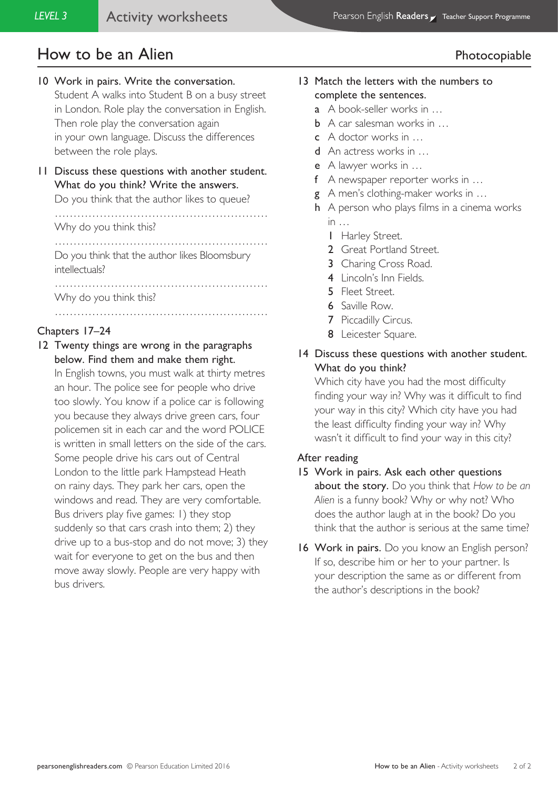# How to be an Alien **Photocopiable**

# 10 Work in pairs. Write the conversation.

Student A walks into Student B on a busy street in London. Role play the conversation in English. Then role play the conversation again in your own language. Discuss the differences between the role plays.

11 Discuss these questions with another student. What do you think? Write the answers.

Do you think that the author likes to queue?

………………………………………………… Why do you think this?

………………………………………………… Do you think that the author likes Bloomsbury

…………………………………………………

intellectuals? …………………………………………………

Why do you think this?

# Chapters 17–24

12 Twenty things are wrong in the paragraphs below. Find them and make them right. In English towns, you must walk at thirty metres an hour. The police see for people who drive too slowly. You know if a police car is following you because they always drive green cars, four policemen sit in each car and the word POLICE is written in small letters on the side of the cars. Some people drive his cars out of Central London to the little park Hampstead Heath on rainy days. They park her cars, open the windows and read. They are very comfortable. Bus drivers play five games: 1) they stop suddenly so that cars crash into them; 2) they drive up to a bus-stop and do not move; 3) they

wait for everyone to get on the bus and then move away slowly. People are very happy with bus drivers.

# 13 Match the letters with the numbers to complete the sentences.

- a A book-seller works in …
- **b** A car salesman works in ...
- c A doctor works in …
- d An actress works in …
- e A lawyer works in …
- f A newspaper reporter works in …
- g A men's clothing-maker works in …
- h A person who plays films in a cinema works  $in \dots$ 
	- 1 Harley Street.
	- 2 Great Portland Street.
	- 3 Charing Cross Road.
	- 4 Lincoln's Inn Fields.
	- 5 Fleet Street.
	- 6 Saville Row.
	- 7 Piccadilly Circus.
	- 8 Leicester Square.
- 14 Discuss these questions with another student. What do you think?

Which city have you had the most difficulty finding your way in? Why was it difficult to find your way in this city? Which city have you had the least difficulty finding your way in? Why wasn't it difficult to find your way in this city?

## After reading

- 15 Work in pairs. Ask each other questions about the story. Do you think that *How to be an Alien* is a funny book? Why or why not? Who does the author laugh at in the book? Do you think that the author is serious at the same time?
- 16 Work in pairs. Do you know an English person? If so, describe him or her to your partner. Is your description the same as or different from the author's descriptions in the book?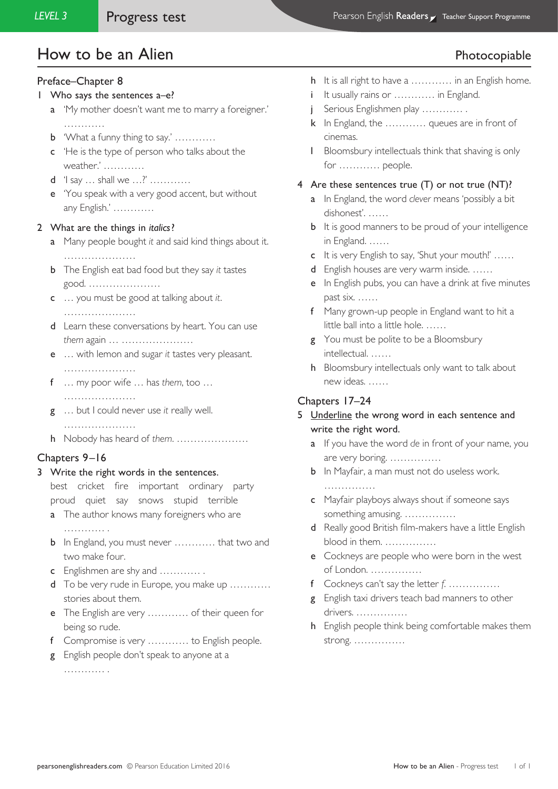# How to be an Alien **Photocopiable**

#### Preface–Chapter 8

- 1 Who says the sentences a–e?
	- a 'My mother doesn't want me to marry a foreigner.' ……………
	- b 'What a funny thing to say.' …………
	- c 'He is the type of person who talks about the weather.' …………
	- d 'I say … shall we …?' …………
	- e 'You speak with a very good accent, but without any English.' …………

#### 2 What are the things in *italics*?

- a Many people bought *it* and said kind things about it. …………………
- b The English eat bad food but they say *it* tastes good. …………………
- c … you must be good at talking about *it*.
	- …………………
- d Learn these conversations by heart. You can use *them* again … …………………
- e … with lemon and sugar *it* tastes very pleasant. …………………
- f … my poor wife … has *them*, too … …………………
- g … but I could never use *it* really well.
- ………………… h Nobody has heard of *them*. …………………

#### Chapters 9–16

3 Write the right words in the sentences.

best cricket fire important ordinary party proud quiet say snows stupid terrible

- a The author knows many foreigners who are ……………
- b In England, you must never ………… that two and two make four.
- c Englishmen are shy and ………… .
- d To be very rude in Europe, you make up ………… stories about them.
- e The English are very ………… of their queen for being so rude.
- f Compromise is very ………… to English people.
- g English people don't speak to anyone at a

………… .

- h It is all right to have a ………… in an English home.
- i It usually rains or ………… in England.
- Serious Englishmen play ………….
- k In England, the ………… queues are in front of cinemas.
- l Bloomsbury intellectuals think that shaving is only for ………… people.

#### 4 Are these sentences true (T) or not true (NT)?

- a In England, the word *clever* means 'possibly a bit dishonest'. ……
- **b** It is good manners to be proud of your intelligence in England. ……
- c It is very English to say, 'Shut your mouth!' ……
- d English houses are very warm inside. ……
- e In English pubs, you can have a drink at five minutes past six. ……
- f Many grown-up people in England want to hit a little ball into a little hole. ……
- g You must be polite to be a Bloomsbury intellectual. ……
- h Bloomsbury intellectuals only want to talk about new ideas. ……

#### Chapters 17–24

- 5 Underline the wrong word in each sentence and write the right word.
	- a If you have the word *de* in front of your name, you are very boring. ……………
	- **b** In Mayfair, a man must not do useless work. ……………
	- c Mayfair playboys always shout if someone says something amusing. ……………
	- d Really good British film-makers have a little English blood in them. ……………
	- e Cockneys are people who were born in the west of London. ……………
	- f Cockneys can't say the letter *f*. ……………
	- g English taxi drivers teach bad manners to other drivers. ……………
	- h English people think being comfortable makes them strong. ……………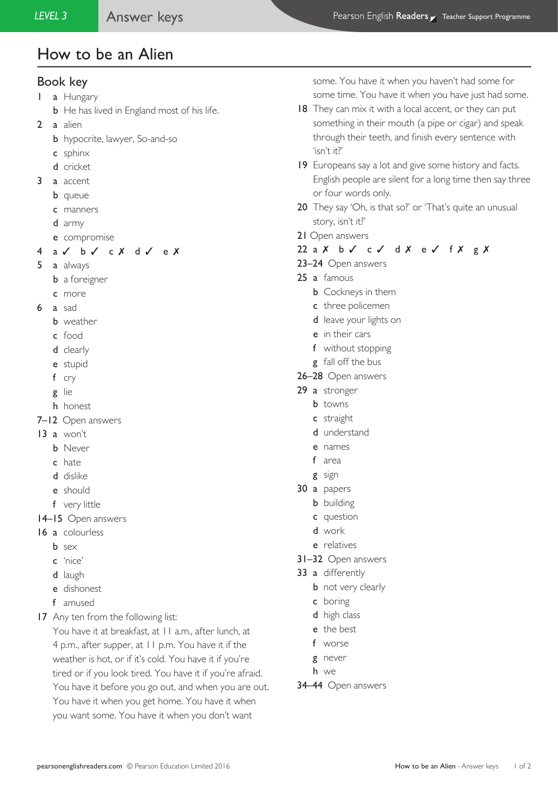#### Book key

- 1 a Hungary
	- **b** He has lived in England most of his life.
- 2 a alien
	- **b** hypocrite, lawyer, So-and-so
	- c sphinx
	- d cricket
- 3 a accent
	- **b** queue
	- c manners
	- d army
	- e compromise
- 4 a ✓ b ✓ c ✗ d ✓ e ✗
- 5 a always
	- **b** a foreigner
	- c more
- 6 a sad
	- b weather
	- c food
	- d clearly
	- e stupid
	- f cry
	- g lie
	- h honest
- 7–12 Open answers
- 13 a won't
	- b Never
	- c hate
	- d dislike
	- e should
	- f very little
- 14–15 Open answers
- 16 a colourless
	- b sex
	- c 'nice'
	- d laugh
	- e dishonest
	- f amused
- 17 Any ten from the following list:

You have it at breakfast, at 11 a.m., after lunch, at 4 p.m., after supper, at 11 p.m. You have it if the weather is hot, or if it's cold. You have it if you're tired or if you look tired. You have it if you're afraid. You have it before you go out, and when you are out. You have it when you get home. You have it when you want some. You have it when you don't want

some. You have it when you haven't had some for some time. You have it when you have just had some.

- 18 They can mix it with a local accent, or they can put something in their mouth (a pipe or cigar) and speak through their teeth, and finish every sentence with 'isn't it?'
- 19 Europeans say a lot and give some history and facts. English people are silent for a long time then say three or four words only.
- 20 They say 'Oh, is that so?' or 'That's quite an unusual story, isn't it?'
- 21 Open answers
- 22 a X b √ c √ d X e √ f X g X
- 23–24 Open answers
- 25 a famous
	- **b** Cockneys in them
	- c three policemen
	- d leave your lights on
	- e in their cars
	- f without stopping
	- g fall off the bus
- 26–28 Open answers
- 29 a stronger
	- **b** towns
	- c straight
	- d understand
	- e names
	- f area
	- g sign
- 30 a papers
	- **b** building
	- c question
	- d work
	- e relatives
- 31–32 Open answers
- 33 a differently
	- **b** not very clearly
		- c boring
		- d high class
		- e the best
		- f worse
	- g never
	- h we
- 34–44 Open answers